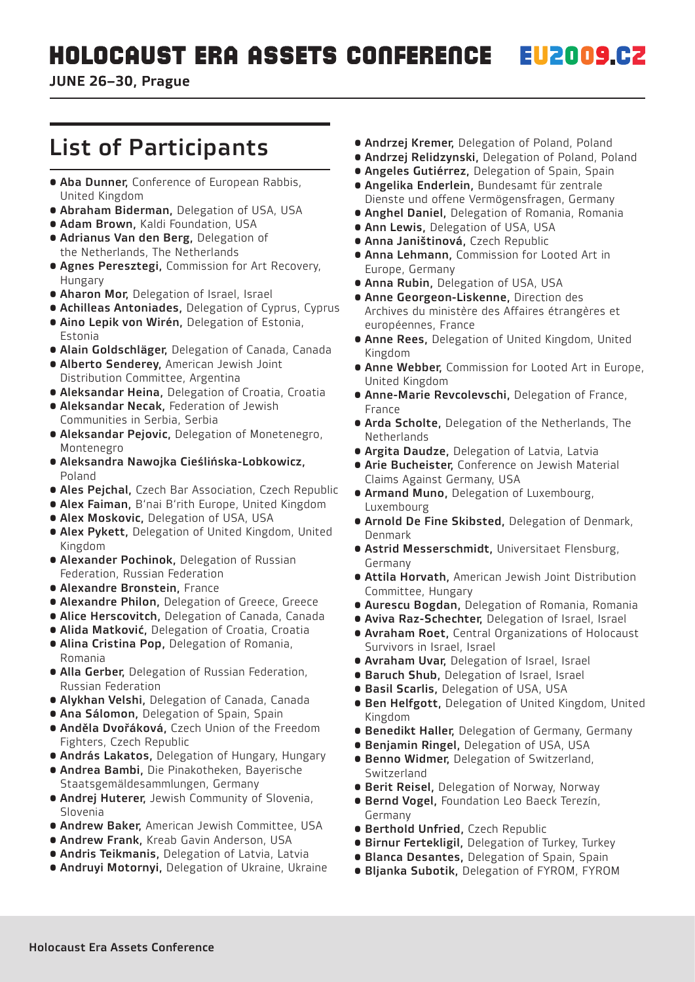JUNE 26–30, Prague

# List of Participants

- **Aba Dunner, Conference of European Rabbis,** United Kingdom
- **Abraham Biderman, Delegation of USA, USA**
- **Adam Brown, Kaldi Foundation, USA**
- Adrianus Van den Berg, Delegation of the Netherlands, The Netherlands
- Agnes Peresztegi, Commission for Art Recovery, Hungary
- **Aharon Mor, Delegation of Israel, Israel**
- **Achilleas Antoniades, Delegation of Cyprus, Cyprus**
- Aino Lepik von Wirén, Delegation of Estonia, Estonia
- **Alain Goldschläger, Delegation of Canada, Canada**
- Alberto Senderey, American Jewish Joint Distribution Committee, Argentina
- **Aleksandar Heina, Delegation of Croatia, Croatia**
- Aleksandar Necak, Federation of Jewish Communities in Serbia, Serbia
- Aleksandar Pejovic, Delegation of Monetenegro, Montenegro
- Aleksandra Nawojka Cieślińska-Lobkowicz, Poland
- Ales Pejchal, Czech Bar Association, Czech Republic
- **Alex Faiman, B'nai B'rith Europe, United Kingdom**
- **Alex Moskovic, Delegation of USA, USA**
- **Alex Pykett, Delegation of United Kingdom, United** Kingdom
- **Alexander Pochinok, Delegation of Russian** Federation, Russian Federation
- Alexandre Bronstein, France
- **Alexandre Philon, Delegation of Greece, Greece**
- Alice Herscovitch, Delegation of Canada, Canada
- **Alida Matković, Delegation of Croatia, Croatia**
- Alina Cristina Pop, Delegation of Romania, Romania
- Alla Gerber, Delegation of Russian Federation, Russian Federation
- **Alykhan Velshi, Delegation of Canada, Canada**
- **Ana Sálomon, Delegation of Spain, Spain**
- Anděla Dvořáková, Czech Union of the Freedom Fighters, Czech Republic
- **András Lakatos, Delegation of Hungary, Hungary**
- **Andrea Bambi, Die Pinakotheken, Bayerische** Staatsgemäldesammlungen, Germany
- **Andrej Huterer, Jewish Community of Slovenia,** Slovenia
- **Andrew Baker, American Jewish Committee, USA**
- **Andrew Frank, Kreab Gavin Anderson, USA**
- **Andris Teikmanis, Delegation of Latvia, Latvia**
- **Andruyi Motornyi, Delegation of Ukraine, Ukraine**
- **Andrzej Kremer, Delegation of Poland, Poland**
- **Andrzej Relidzynski, Delegation of Poland, Poland**
- **Angeles Gutiérrez, Delegation of Spain, Spain**
- Angelika Enderlein, Bundesamt für zentrale Dienste und offene Vermögensfragen, Germany
- **Anghel Daniel**, Delegation of Romania, Romania
- **Ann Lewis, Delegation of USA, USA**
- Anna Janištinová, Czech Republic
- **Anna Lehmann**, Commission for Looted Art in Europe, Germany
- **Anna Rubin, Delegation of USA, USA**
- Anne Georgeon-Liskenne, Direction des Archives du ministère des Affaires étrangères et européennes, France
- **Anne Rees, Delegation of United Kingdom, United** Kingdom
- **Anne Webber, Commission for Looted Art in Europe.** United Kingdom
- **Anne-Marie Revcolevschi, Delegation of France,** France
- **Arda Scholte, Delegation of the Netherlands, The** Netherlands
- **Argita Daudze, Delegation of Latvia, Latvia**
- **Arie Bucheister, Conference on Jewish Material** Claims Against Germany, USA
- **Armand Muno, Delegation of Luxembourg,** Luxembourg
- **Arnold De Fine Skibsted, Delegation of Denmark,** Denmark
- Astrid Messerschmidt, Universitaet Flensburg, Germany
- Attila Horvath, American Jewish Joint Distribution Committee, Hungary
- **Aurescu Bogdan, Delegation of Romania, Romania**
- **Aviva Raz-Schechter, Delegation of Israel, Israel**
- **Avraham Roet, Central Organizations of Holocaust** Survivors in Israel, Israel
- **Avraham Uvar, Delegation of Israel, Israel**
- **Baruch Shub, Delegation of Israel, Israel**
- **Basil Scarlis, Delegation of USA, USA**
- **Ben Helfgott, Delegation of United Kingdom, United** Kingdom
- **Benedikt Haller, Delegation of Germany, Germany**
- **Benjamin Ringel, Delegation of USA, USA**
- **Benno Widmer, Delegation of Switzerland,** Switzerland
- **Berit Reisel, Delegation of Norway, Norway**
- Bernd Vogel, Foundation Leo Baeck Terezín, Germany
- Berthold Unfried, Czech Republic
- **Birnur Fertekligil, Delegation of Turkey, Turkey**
- **Blanca Desantes, Delegation of Spain, Spain**
- **Bljanka Subotik, Delegation of FYROM, FYROM**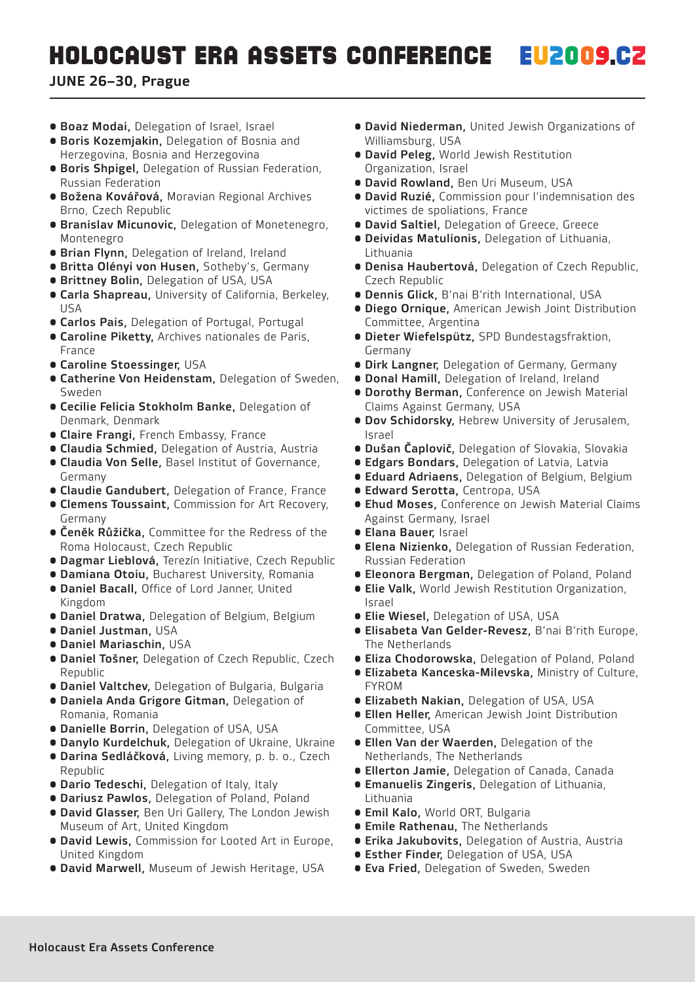- **Boaz Modai, Delegation of Israel, Israel**
- Boris Kozemjakin, Delegation of Bosnia and Herzegovina, Bosnia and Herzegovina
- Boris Shpigel, Delegation of Russian Federation, Russian Federation
- Božena Kovářová, Moravian Regional Archives Brno, Czech Republic
- Branislav Micunovic, Delegation of Monetenegro, Montenegro
- **Brian Flynn, Delegation of Ireland, Ireland**
- **Britta Olényi von Husen, Sotheby's, Germany**
- **Brittney Bolin, Delegation of USA, USA**
- **Carla Shapreau, University of California, Berkeley,** USA
- **Carlos Pais, Delegation of Portugal, Portugal**
- Caroline Piketty, Archives nationales de Paris, France
- Caroline Stoessinger, USA
- Catherine Von Heidenstam, Delegation of Sweden, Sweden
- Cecilie Felicia Stokholm Banke, Delegation of Denmark, Denmark
- **Claire Frangi, French Embassy, France**
- **Claudia Schmied, Delegation of Austria, Austria**
- Claudia Von Selle, Basel Institut of Governance, Germany
- **Claudie Gandubert, Delegation of France, France**
- Clemens Toussaint, Commission for Art Recovery, Germany
- **Čeněk Růžička, Committee for the Redress of the** Roma Holocaust, Czech Republic
- **Dagmar Lieblová, Terezín Initiative, Czech Republic**
- **Damiana Otoiu, Bucharest University, Romania**
- **Daniel Bacall, Office of Lord Janner, United** Kingdom
- **Daniel Dratwa, Delegation of Belgium, Belgium**
- Daniel Justman, USA
- Daniel Mariaschin, USA
- **Daniel Tošner, Delegation of Czech Republic, Czech** Republic
- **Daniel Valtchev, Delegation of Bulgaria, Bulgaria**
- Daniela Anda Grigore Gitman, Delegation of Romania, Romania
- **Danielle Borrin, Delegation of USA, USA**
- **Danylo Kurdelchuk, Delegation of Ukraine, Ukraine**
- **Darina Sedláčková, Living memory, p. b. o., Czech** Republic
- **Dario Tedeschi, Delegation of Italy, Italy**
- **Dariusz Pawlos, Delegation of Poland, Poland**
- **David Glasser, Ben Uri Gallery, The London Jewish** Museum of Art, United Kingdom
- David Lewis, Commission for Looted Art in Europe, United Kingdom
- **David Marwell, Museum of Jewish Heritage, USA**
- David Niederman, United Jewish Organizations of Williamsburg, USA
- David Peleg, World Jewish Restitution Organization, Israel
- **David Rowland, Ben Uri Museum, USA**
- David Ruzié, Commission pour l'indemnisation des victimes de spoliations, France
- **David Saltiel, Delegation of Greece, Greece**
- Deividas Matulionis, Delegation of Lithuania, Lithuania
- Denisa Haubertová, Delegation of Czech Republic, Czech Republic
- **Dennis Glick, B'nai B'rith International, USA**
- Diego Ornique, American Jewish Joint Distribution Committee, Argentina
- Dieter Wiefelspütz, SPD Bundestagsfraktion, Germany
- **Dirk Langner, Delegation of Germany, Germany**
- **Donal Hamill, Delegation of Ireland, Ireland**
- Dorothy Berman, Conference on Jewish Material Claims Against Germany, USA
- **Dov Schidorsky, Hebrew University of Jerusalem,** Israel
- **Dušan Čaplovič, Delegation of Slovakia, Slovakia**
- **Edgars Bondars, Delegation of Latvia, Latvia**
- **Eduard Adriaens, Delegation of Belgium, Belgium**
- **Edward Serotta, Centropa, USA**
- Ehud Moses, Conference on Jewish Material Claims Against Germany, Israel
- Elana Bauer, Israel
- **Elena Nizienko, Delegation of Russian Federation,** Russian Federation
- **Eleonora Bergman, Delegation of Poland, Poland**
- **Elie Valk, World Jewish Restitution Organization,** Israel
- **Elie Wiesel, Delegation of USA, USA**
- Elisabeta Van Gelder-Revesz, B'nai B'rith Europe, The Netherlands
- **Eliza Chodorowska, Delegation of Poland, Poland**
- Elizabeta Kanceska-Milevska, Ministry of Culture, FYROM
- **Elizabeth Nakian, Delegation of USA, USA**
- Ellen Heller, American Jewish Joint Distribution Committee, USA
- Ellen Van der Waerden, Delegation of the Netherlands, The Netherlands
- **Ellerton Jamie, Delegation of Canada, Canada**
- Emanuelis Zingeris, Delegation of Lithuania, Lithuania
- **Emil Kalo, World ORT, Bulgaria**
- Emile Rathenau, The Netherlands
- **Erika Jakubovits, Delegation of Austria, Austria**
- **Esther Finder, Delegation of USA, USA**
- **Eva Fried, Delegation of Sweden, Sweden**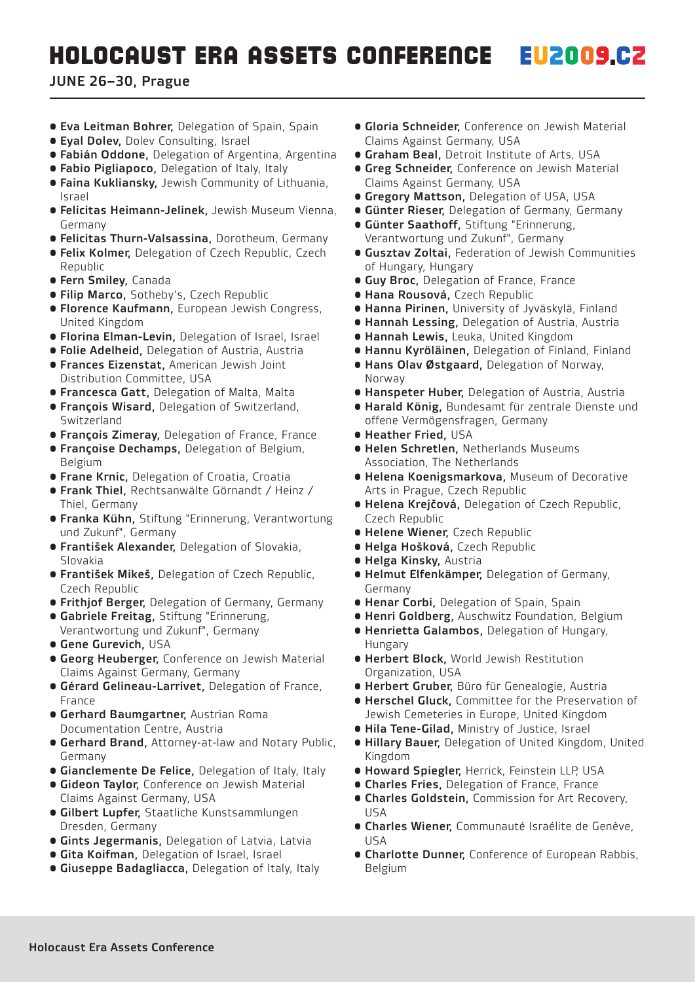- **Eva Leitman Bohrer, Delegation of Spain, Spain**
- **Eval Doley, Doley Consulting, Israel**
- **Fabián Oddone, Delegation of Argentina, Argentina**
- **Fabio Pigliapoco, Delegation of Italy, Italy**
- **Faina Kukliansky, Jewish Community of Lithuania,** Israel
- Felicitas Heimann-Jelinek, Jewish Museum Vienna, Germany
- **Felicitas Thurn-Valsassina, Dorotheum, Germany**
- **Felix Kolmer, Delegation of Czech Republic, Czech** Republic
- Fern Smiley, Canada
- **Filip Marco, Sotheby's, Czech Republic**
- **Florence Kaufmann, European Jewish Congress,** United Kingdom
- **Florina Elman-Levin, Delegation of Israel, Israel**
- **Folie Adelheid, Delegation of Austria, Austria**
- **Frances Eizenstat, American Jewish Joint** Distribution Committee, USA
- **Francesca Gatt, Delegation of Malta, Malta**
- **François Wisard, Delegation of Switzerland,** Switzerland
- **François Zimeray, Delegation of France, France**
- **Françoise Dechamps, Delegation of Belgium,** Belgium
- **Frane Krnic, Delegation of Croatia, Croatia**
- Frank Thiel, Rechtsanwälte Görnandt / Heinz / Thiel, Germany
- **Franka Kühn, Stiftung "Erinnerung, Verantwortung** und Zukunf", Germany
- **František Alexander, Delegation of Slovakia,** Slovakia
- **František Mikeš, Delegation of Czech Republic,** Czech Republic
- **Frithjof Berger, Delegation of Germany, Germany**
- Gabriele Freitag, Stiftung "Erinnerung, Verantwortung und Zukunf", Germany
- Gene Gurevich, USA
- **Georg Heuberger, Conference on Jewish Material** Claims Against Germany, Germany
- Gérard Gelineau-Larrivet, Delegation of France, France
- **Gerhard Baumgartner, Austrian Roma** Documentation Centre, Austria
- Gerhard Brand, Attorney-at-law and Notary Public, Germany
- **Gianclemente De Felice, Delegation of Italy, Italy**
- **Gideon Taylor, Conference on Jewish Material** Claims Against Germany, USA
- Gilbert Lupfer, Staatliche Kunstsammlungen Dresden, Germany
- **Gints Jegermanis, Delegation of Latvia, Latvia**
- **Gita Koifman, Delegation of Israel, Israel**
- **Giuseppe Badagliacca, Delegation of Italy, Italy**
- **Gloria Schneider**, Conference on Jewish Material Claims Against Germany, USA
- **Graham Beal, Detroit Institute of Arts, USA**
- **Greg Schneider, Conference on Jewish Material** Claims Against Germany, USA
- **Gregory Mattson, Delegation of USA, USA**
- **Günter Rieser, Delegation of Germany, Germany**
- Günter Saathoff, Stiftung "Erinnerung, Verantwortung und Zukunf", Germany
- **Gusztav Zoltai, Federation of Jewish Communities** of Hungary, Hungary
- **Guy Broc, Delegation of France, France**
- Hana Rousová, Czech Republic
- **Hanna Pirinen, University of Jyväskylä, Finland**
- **Hannah Lessing, Delegation of Austria, Austria**
- **Hannah Lewis, Leuka, United Kingdom**
- **Hannu Kyröläinen, Delegation of Finland, Finland**
- **Hans Olav Østgaard, Delegation of Norway,** Norway
- **Hanspeter Huber, Delegation of Austria, Austria**
- Harald König, Bundesamt für zentrale Dienste und offene Vermögensfragen, Germany
- Heather Fried, USA
- **Helen Schretlen, Netherlands Museums** Association, The Netherlands
- Helena Koenigsmarkova, Museum of Decorative Arts in Prague, Czech Republic
- Helena Krejčová, Delegation of Czech Republic, Czech Republic
- Helene Wiener, Czech Republic
- Helga Hošková, Czech Republic
- Helga Kinsky, Austria
- Helmut Elfenkämper, Delegation of Germany, Germany
- **Henar Corbi, Delegation of Spain, Spain**
- **Henri Goldberg, Auschwitz Foundation, Belgium**
- Henrietta Galambos, Delegation of Hungary, Hungary
- Herbert Block, World Jewish Restitution Organization, USA
- **Herbert Gruber, Büro für Genealogie, Austria**
- Herschel Gluck, Committee for the Preservation of Jewish Cemeteries in Europe, United Kingdom
- **Hila Tene-Gilad, Ministry of Justice, Israel**
- **Hillary Bauer, Delegation of United Kingdom, United** Kingdom
- **Howard Spiegler, Herrick, Feinstein LLP, USA**
- **Charles Fries, Delegation of France, France**
- Charles Goldstein, Commission for Art Recovery, USA
- Charles Wiener, Communauté Israélite de Genève, USA
- **Charlotte Dunner, Conference of European Rabbis,** Belgium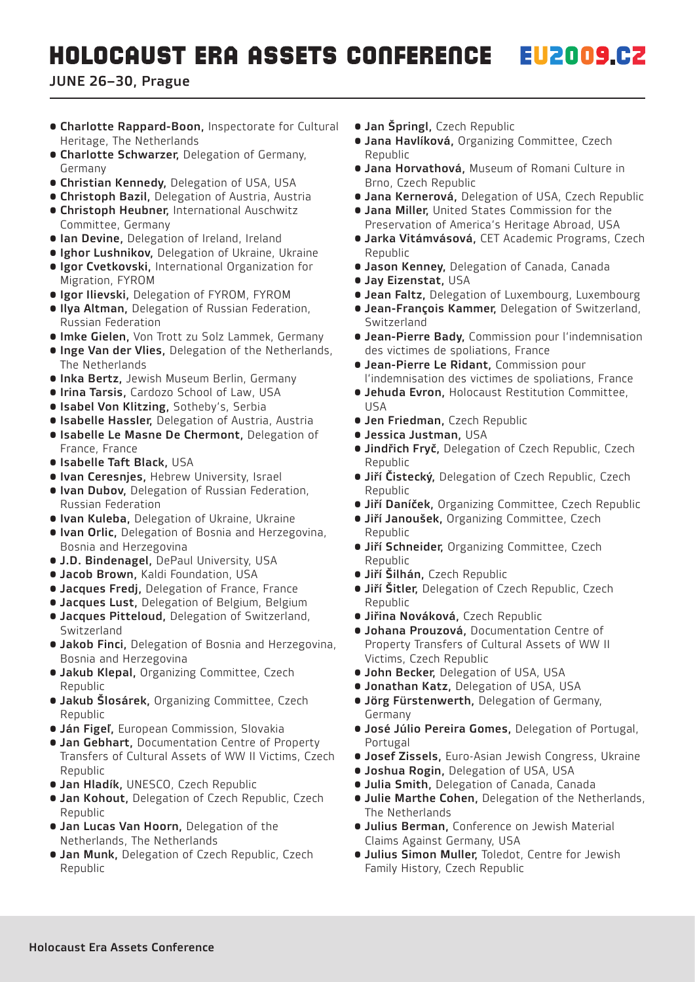#### **EU2009.CZ HOLOCAUST ERA ASSETS CONFERENCE**

- Charlotte Rappard-Boon, Inspectorate for Cultural Heritage, The Netherlands
- Charlotte Schwarzer, Delegation of Germany, Germany
- **Christian Kennedy, Delegation of USA, USA**
- **Christoph Bazil, Delegation of Austria, Austria**
- Christoph Heubner, International Auschwitz Committee, Germany
- **Ian Devine, Delegation of Ireland, Ireland**
- **Ighor Lushnikov, Delegation of Ukraine, Ukraine**
- Igor Cvetkovski, International Organization for Migration, FYROM
- **· Igor Ilievski, Delegation of FYROM, FYROM**
- Ilya Altman, Delegation of Russian Federation, Russian Federation
- **Imke Gielen, Von Trott zu Solz Lammek, Germany**
- **Inge Van der Vlies, Delegation of the Netherlands,** The Netherlands
- **Inka Bertz, Jewish Museum Berlin, Germany**
- **Irina Tarsis, Cardozo School of Law, USA**
- **Isabel Von Klitzing, Sotheby's, Serbia**
- **Isabelle Hassler, Delegation of Austria, Austria**
- Isabelle Le Masne De Chermont, Delegation of France, France
- Isabelle Taft Black, USA
- **Ivan Ceresnjes, Hebrew University, Israel**
- **Ivan Dubov, Delegation of Russian Federation,** Russian Federation
- **Ivan Kuleba, Delegation of Ukraine, Ukraine**
- **Ivan Orlic,** Delegation of Bosnia and Herzegovina, Bosnia and Herzegovina
- **J.D. Bindenagel, DePaul University, USA**
- **Jacob Brown, Kaldi Foundation, USA**
- **Jacques Fredj, Delegation of France, France**
- **Jacques Lust, Delegation of Belgium, Belgium**
- Jacques Pitteloud, Delegation of Switzerland, Switzerland
- **Jakob Finci, Delegation of Bosnia and Herzegovina,** Bosnia and Herzegovina
- **Jakub Klepal, Organizing Committee, Czech** Republic
- **Jakub Šlosárek, Organizing Committee, Czech** Republic
- **Ján Figeľ, European Commission, Slovakia**
- **Jan Gebhart, Documentation Centre of Property** Transfers of Cultural Assets of WW II Victims, Czech Republic
- **Jan Hladík, UNESCO, Czech Republic**
- **Jan Kohout, Delegation of Czech Republic, Czech** Republic
- **Jan Lucas Van Hoorn, Delegation of the** Netherlands, The Netherlands
- **Jan Munk, Delegation of Czech Republic, Czech** Republic
- **Jan Špringl, Czech Republic**
- **Jana Havlíková, Organizing Committee, Czech** Republic
- Jana Horvathová, Museum of Romani Culture in Brno, Czech Republic
- **Jana Kernerová, Delegation of USA, Czech Republic**
- Jana Miller, United States Commission for the Preservation of America's Heritage Abroad, USA
- **Jarka Vitámvásová, CET Academic Programs, Czech** Republic
- **Jason Kenney, Delegation of Canada, Canada**
- Jay Eizenstat, USA
- **Jean Faltz, Delegation of Luxembourg, Luxembourg**
- Jean-François Kammer, Delegation of Switzerland, Switzerland
- Jean-Pierre Bady, Commission pour l'indemnisation des victimes de spoliations, France
- Jean-Pierre Le Ridant, Commission pour l'indemnisation des victimes de spoliations, France
- Jehuda Evron, Holocaust Restitution Committee, USA
- **Jen Friedman, Czech Republic**
- Jessica Justman, USA
- **Jindřich Fryč, Delegation of Czech Republic, Czech** Republic
- **Jiří Čistecký, Delegation of Czech Republic, Czech** Republic
- **Jiří Daníček, Organizing Committee, Czech Republic**
- **Jiří Janoušek, Organizing Committee, Czech** Republic
- **Jiří Schneider, Organizing Committee, Czech** Republic
- **Jiří Šilhán, Czech Republic**
- **Jiří Šitler,** Delegation of Czech Republic, Czech Republic
- **Jiřina Nováková, Czech Republic**
- Johana Prouzová, Documentation Centre of Property Transfers of Cultural Assets of WW II Victims, Czech Republic
- **John Becker, Delegation of USA, USA**
- **Jonathan Katz, Delegation of USA, USA**
- **Jörg Fürstenwerth, Delegation of Germany,** Germany
- **José Júlio Pereira Gomes, Delegation of Portugal,** Portugal
- **Josef Zissels, Euro-Asian Jewish Congress, Ukraine**
- **Joshua Rogin, Delegation of USA, USA**
- **Julia Smith, Delegation of Canada, Canada**
- **Julie Marthe Cohen, Delegation of the Netherlands,** The Netherlands
- Julius Berman, Conference on Jewish Material Claims Against Germany, USA
- **Julius Simon Muller, Toledot, Centre for Jewish** Family History, Czech Republic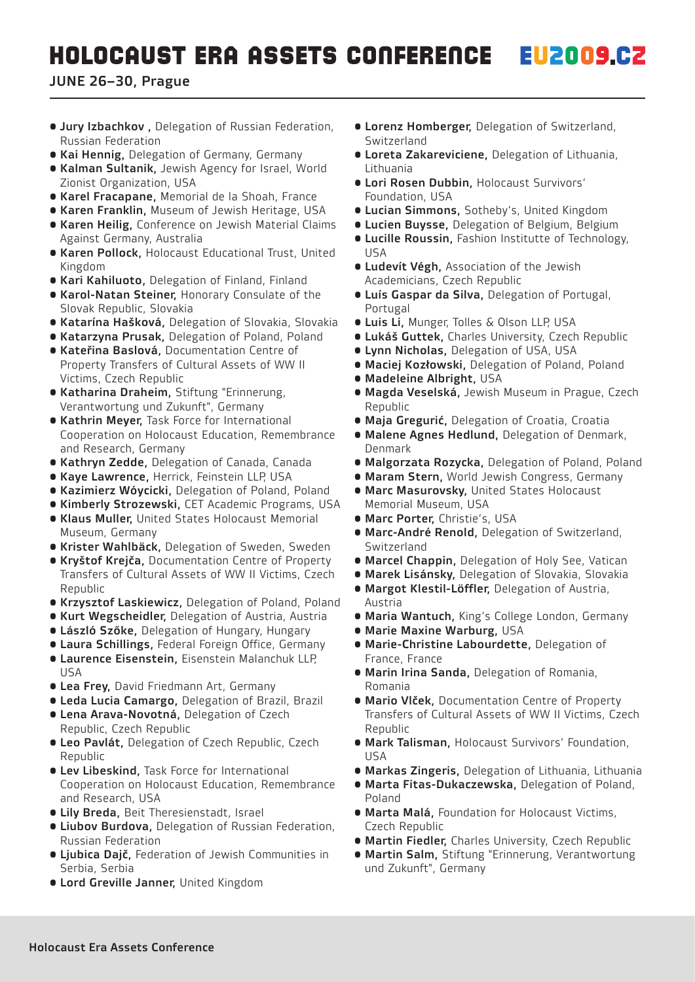- Jury Izbachkov , Delegation of Russian Federation, Russian Federation
- **Kai Hennig, Delegation of Germany, Germany**
- **Kalman Sultanik, Jewish Agency for Israel, World** Zionist Organization, USA
- **Karel Fracapane, Memorial de la Shoah, France**
- **Karen Franklin, Museum of Jewish Heritage, USA**
- Karen Heilig, Conference on Jewish Material Claims Against Germany, Australia
- **Karen Pollock, Holocaust Educational Trust, United** Kingdom
- **Kari Kahiluoto, Delegation of Finland, Finland**
- Karol-Natan Steiner, Honorary Consulate of the Slovak Republic, Slovakia
- Katarína Hašková, Delegation of Slovakia, Slovakia
- **Katarzyna Prusak, Delegation of Poland, Poland**
- Kateřina Baslová, Documentation Centre of Property Transfers of Cultural Assets of WW II Victims, Czech Republic
- Katharina Draheim, Stiftung "Erinnerung, Verantwortung und Zukunft", Germany
- Kathrin Meyer, Task Force for International Cooperation on Holocaust Education, Remembrance and Research, Germany
- **Kathryn Zedde, Delegation of Canada, Canada**
- **Kaye Lawrence, Herrick, Feinstein LLP, USA**
- **Kazimierz Wóycicki, Delegation of Poland, Poland**
- **Kimberly Strozewski, CET Academic Programs, USA**
- Klaus Muller, United States Holocaust Memorial Museum, Germany
- **Krister Wahlbäck, Delegation of Sweden, Sweden**
- Kryštof Krejča, Documentation Centre of Property Transfers of Cultural Assets of WW II Victims, Czech Republic
- **Krzysztof Laskiewicz, Delegation of Poland, Poland**
- **Kurt Wegscheidler, Delegation of Austria, Austria**
- **László Szőke, Delegation of Hungary, Hungary**
- **Laura Schillings, Federal Foreign Office, Germany**
- Laurence Eisenstein, Eisenstein Malanchuk LLP, USA
- **Lea Frey, David Friedmann Art, Germany**
- **Leda Lucia Camargo, Delegation of Brazil, Brazil**
- Lena Arava-Novotná, Delegation of Czech Republic, Czech Republic
- **Leo Pavlát, Delegation of Czech Republic, Czech** Republic
- Lev Libeskind, Task Force for International Cooperation on Holocaust Education, Remembrance and Research, USA
- **Lily Breda, Beit Theresienstadt, Israel**
- Liubov Burdova, Delegation of Russian Federation, Russian Federation
- Ljubica Dajč, Federation of Jewish Communities in Serbia, Serbia
- Lord Greville Janner, United Kingdom
- **Lorenz Homberger, Delegation of Switzerland,** Switzerland
- Loreta Zakareviciene, Delegation of Lithuania, Lithuania
- Lori Rosen Dubbin, Holocaust Survivors' Foundation, USA
- **Lucian Simmons, Sotheby's, United Kingdom**
- **Lucien Buysse, Delegation of Belgium, Belgium**
- Lucille Roussin, Fashion Institutte of Technology, USA
- **Ludevít Végh, Association of the Jewish** Academicians, Czech Republic
- Luís Gaspar da Silva, Delegation of Portugal, Portugal
- **Luis Li, Munger, Tolles & Olson LLP, USA**
- **Lukáš Guttek, Charles University, Czech Republic**
- **Lynn Nicholas, Delegation of USA, USA**
- **Maciej Kozłowski, Delegation of Poland, Poland**
- Madeleine Albright, USA
- **Magda Veselská, Jewish Museum in Prague, Czech** Republic
- **Maja Gregurić, Delegation of Croatia, Croatia**
- Malene Agnes Hedlund, Delegation of Denmark, Denmark
- · Malgorzata Rozycka, Delegation of Poland, Poland
- **Maram Stern, World Jewish Congress, Germany**
- **Marc Masurovsky, United States Holocaust** Memorial Museum, USA
- **Marc Porter, Christie's, USA**
- Marc-André Renold, Delegation of Switzerland, Switzerland
- **Marcel Chappin, Delegation of Holy See, Vatican**
- **Marek Lisánsky, Delegation of Slovakia, Slovakia**
- Margot Klestil-Löffler, Delegation of Austria, Austria
- **Maria Wantuch, King's College London, Germany**
- Marie Maxine Warburg, USA
- Marie-Christine Labourdette, Delegation of France, France
- Marin Irina Sanda, Delegation of Romania, Romania
- **Mario Vlček, Documentation Centre of Property** Transfers of Cultural Assets of WW II Victims, Czech Republic
- Mark Talisman, Holocaust Survivors' Foundation, USA
- **Markas Zingeris, Delegation of Lithuania, Lithuania**
- Marta Fitas-Dukaczewska, Delegation of Poland, Poland
- Marta Malá, Foundation for Holocaust Victims, Czech Republic
- **Martin Fiedler, Charles University, Czech Republic**
- **Martin Salm, Stiftung "Erinnerung, Verantwortung** und Zukunft", Germany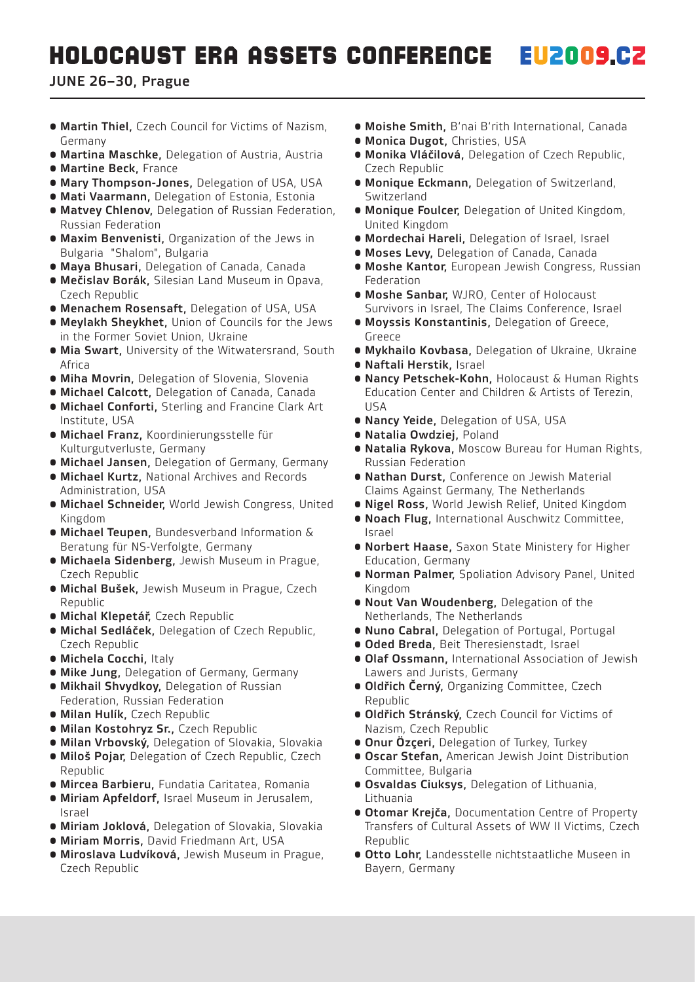- Martin Thiel, Czech Council for Victims of Nazism, Germany
- **Martina Maschke, Delegation of Austria, Austria**
- Martine Beck, France
- **Mary Thompson-Jones, Delegation of USA, USA**
- **Mati Vaarmann, Delegation of Estonia, Estonia**
- Matvey Chlenov, Delegation of Russian Federation, Russian Federation
- Maxim Benvenisti, Organization of the Jews in Bulgaria "Shalom", Bulgaria
- **Maya Bhusari, Delegation of Canada, Canada**
- Mečislav Borák, Silesian Land Museum in Opava, Czech Republic
- **Menachem Rosensaft, Delegation of USA, USA**
- Meylakh Sheykhet, Union of Councils for the Jews in the Former Soviet Union, Ukraine
- **Mia Swart, University of the Witwatersrand, South** Africa
- **Miha Movrin, Delegation of Slovenia, Slovenia**
- **Michael Calcott, Delegation of Canada, Canada**
- Michael Conforti, Sterling and Francine Clark Art Institute, USA
- Michael Franz, Koordinierungsstelle für Kulturgutverluste, Germany
- **Michael Jansen, Delegation of Germany, Germany**
- Michael Kurtz, National Archives and Records Administration, USA
- **Michael Schneider, World Jewish Congress, United** Kingdom
- Michael Teupen, Bundesverband Information & Beratung für NS-Verfolgte, Germany
- Michaela Sidenberg, Jewish Museum in Prague, Czech Republic
- **Michal Bušek, Jewish Museum in Prague, Czech** Republic
- Michal Klepetář, Czech Republic
- Michal Sedláček, Delegation of Czech Republic, Czech Republic
- Michela Cocchi, Italy
- **Mike Jung, Delegation of Germany, Germany**
- **Mikhail Shvydkoy, Delegation of Russian**
- Federation, Russian Federation
- Milan Hulík, Czech Republic
- Milan Kostohryz Sr., Czech Republic
- **Milan Vrbovský, Delegation of Slovakia, Slovakia**
- · Miloš Pojar, Delegation of Czech Republic, Czech Republic
- **Mircea Barbieru, Fundatia Caritatea, Romania**
- Miriam Apfeldorf, Israel Museum in Jerusalem, Israel
- · Miriam Joklová, Delegation of Slovakia, Slovakia
- **Miriam Morris, David Friedmann Art, USA**
- Miroslava Ludvíková, Jewish Museum in Prague, Czech Republic
- **Moishe Smith**, B'nai B'rith International, Canada
- **Monica Dugot, Christies, USA**
- Monika Vláčilová, Delegation of Czech Republic, Czech Republic
- Monique Eckmann, Delegation of Switzerland, Switzerland
- Monique Foulcer, Delegation of United Kingdom, United Kingdom
- **Mordechai Hareli, Delegation of Israel, Israel**
- **Moses Levy, Delegation of Canada, Canada**
- **Moshe Kantor, European Jewish Congress, Russian** Federation
- **Moshe Sanbar, WJRO, Center of Holocaust** Survivors in Israel, The Claims Conference, Israel
- Moyssis Konstantinis, Delegation of Greece, **Greece**
- **Mykhailo Kovbasa, Delegation of Ukraine, Ukraine**
- Naftali Herstik, Israel
- Nancy Petschek-Kohn, Holocaust & Human Rights Education Center and Children & Artists of Terezin,  $IISA$
- **Nancy Yeide, Delegation of USA, USA**
- Natalia Owdziej, Poland
- Natalia Rykova, Moscow Bureau for Human Rights, Russian Federation
- Nathan Durst, Conference on Jewish Material Claims Against Germany, The Netherlands
- **Nigel Ross, World Jewish Relief, United Kingdom**
- Noach Flug, International Auschwitz Committee, Israel
- **Norbert Haase, Saxon State Ministery for Higher** Education, Germany
- **Norman Palmer, Spoliation Advisory Panel, United** Kingdom
- Nout Van Woudenberg, Delegation of the Netherlands, The Netherlands
- **Nuno Cabral, Delegation of Portugal, Portugal**
- **Oded Breda, Beit Theresienstadt, Israel**
- Olaf Ossmann, International Association of Jewish Lawers and Jurists, Germany
- **Oldřich Černý, Organizing Committee, Czech** Republic
- Oldřich Stránský, Czech Council for Victims of Nazism, Czech Republic
- **Onur Özçeri,** Delegation of Turkey, Turkey
- **Oscar Stefan, American Jewish Joint Distribution** Committee, Bulgaria
- Osvaldas Ciuksys, Delegation of Lithuania, Lithuania
- **Otomar Krejča, Documentation Centre of Property** Transfers of Cultural Assets of WW II Victims, Czech Republic
- Otto Lohr, Landesstelle nichtstaatliche Museen in Bayern, Germany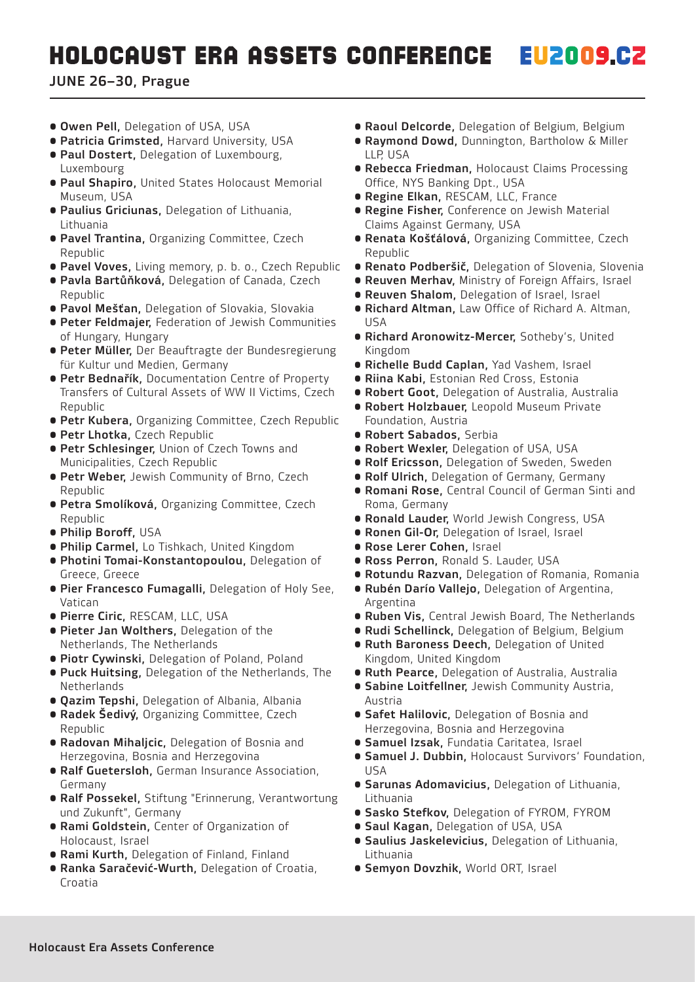- **Owen Pell**, Delegation of USA, USA
- **Patricia Grimsted, Harvard University, USA**
- **Paul Dostert, Delegation of Luxembourg,** Luxembourg
- Paul Shapiro, United States Holocaust Memorial Museum, USA
- Paulius Griciunas, Delegation of Lithuania, Lithuania
- **Pavel Trantina, Organizing Committee, Czech** Republic
- **Pavel Voves,** Living memory, p. b. o., Czech Republic
- **Pavla Bartůňková, Delegation of Canada, Czech** Republic
- · Pavol Mešťan, Delegation of Slovakia, Slovakia
- **Peter Feldmajer, Federation of Jewish Communities** of Hungary, Hungary
- Peter Müller, Der Beauftragte der Bundesregierung für Kultur und Medien, Germany
- **Petr Bednařík, Documentation Centre of Property** Transfers of Cultural Assets of WW II Victims, Czech Republic
- **Petr Kubera, Organizing Committee, Czech Republic**
- **Petr Lhotka, Czech Republic**
- **Petr Schlesinger, Union of Czech Towns and** Municipalities, Czech Republic
- **Petr Weber,** Jewish Community of Brno, Czech Republic
- **Petra Smolíková, Organizing Committee, Czech** Republic
- Philip Boroff, USA
- **Philip Carmel, Lo Tishkach, United Kingdom**
- Photini Tomai-Konstantopoulou, Delegation of Greece, Greece
- Pier Francesco Fumagalli, Delegation of Holy See, Vatican
- · Pierre Ciric, RESCAM, LLC, USA
- Pieter Jan Wolthers, Delegation of the Netherlands, The Netherlands
- **Piotr Cywinski, Delegation of Poland, Poland**
- **Puck Huitsing, Delegation of the Netherlands, The** Netherlands
- **Qazim Tepshi, Delegation of Albania, Albania**
- **Radek Šedivý, Organizing Committee, Czech** Republic
- Radovan Mihaljcic, Delegation of Bosnia and Herzegovina, Bosnia and Herzegovina
- Ralf Guetersloh, German Insurance Association, Germany
- Ralf Possekel, Stiftung "Erinnerung, Verantwortung und Zukunft", Germany
- Rami Goldstein, Center of Organization of Holocaust, Israel
- **Rami Kurth, Delegation of Finland, Finland**
- Ranka Saračević-Wurth, Delegation of Croatia, Croatia
- **Raoul Delcorde**, Delegation of Belgium, Belgium
- **Raymond Dowd, Dunnington, Bartholow & Miller** LLP,USA
- **Rebecca Friedman, Holocaust Claims Processing** Office, NYS Banking Dpt., USA
- **Regine Elkan, RESCAM, LLC, France**
- **Regine Fisher, Conference on Jewish Material** Claims Against Germany, USA
- **Renata Košťálová, Organizing Committee, Czech** Republic
- **Renato Podberšič, Delegation of Slovenia, Slovenia**
- **Reuven Merhav, Ministry of Foreign Affairs, Israel**
- **Reuven Shalom, Delegation of Israel, Israel**
- Richard Altman, Law Office of Richard A. Altman, USA
- **Richard Aronowitz-Mercer, Sotheby's, United** Kingdom
- **Richelle Budd Caplan, Yad Vashem, Israel**
- **Riina Kabi, Estonian Red Cross, Estonia**
- **Robert Goot, Delegation of Australia, Australia**
- **Robert Holzbauer, Leopold Museum Private** Foundation, Austria
- Robert Sabados, Serbia
- **Robert Wexler, Delegation of USA, USA**
- **Rolf Ericsson, Delegation of Sweden, Sweden**
- **Rolf Ulrich, Delegation of Germany, Germany**
- Romani Rose, Central Council of German Sinti and Roma, Germany
- **Ronald Lauder, World Jewish Congress, USA**
- Ronen Gil-Or, Delegation of Israel, Israel
- Rose Lerer Cohen, Israel
- **Ross Perron, Ronald S. Lauder, USA**
- **Rotundu Razvan, Delegation of Romania, Romania**
- Rubén Darío Vallejo, Delegation of Argentina, Argentina
- **Ruben Vis, Central Jewish Board, The Netherlands**
- **Rudi Schellinck, Delegation of Belgium, Belgium**
- Ruth Baroness Deech, Delegation of United Kingdom, United Kingdom
- **Ruth Pearce, Delegation of Australia, Australia**
- **Sabine Loitfellner, Jewish Community Austria,** Austria
- **Safet Halilovic, Delegation of Bosnia and** Herzegovina, Bosnia and Herzegovina
- **Samuel Izsak, Fundatia Caritatea, Israel**
- Samuel J. Dubbin, Holocaust Survivors' Foundation, USA
- Sarunas Adomavicius, Delegation of Lithuania, Lithuania
- **Sasko Stefkov, Delegation of FYROM, FYROM**
- **Saul Kagan, Delegation of USA, USA**
- Saulius Jaskelevicius, Delegation of Lithuania, Lithuania
- **Semyon Dovzhik, World ORT, Israel**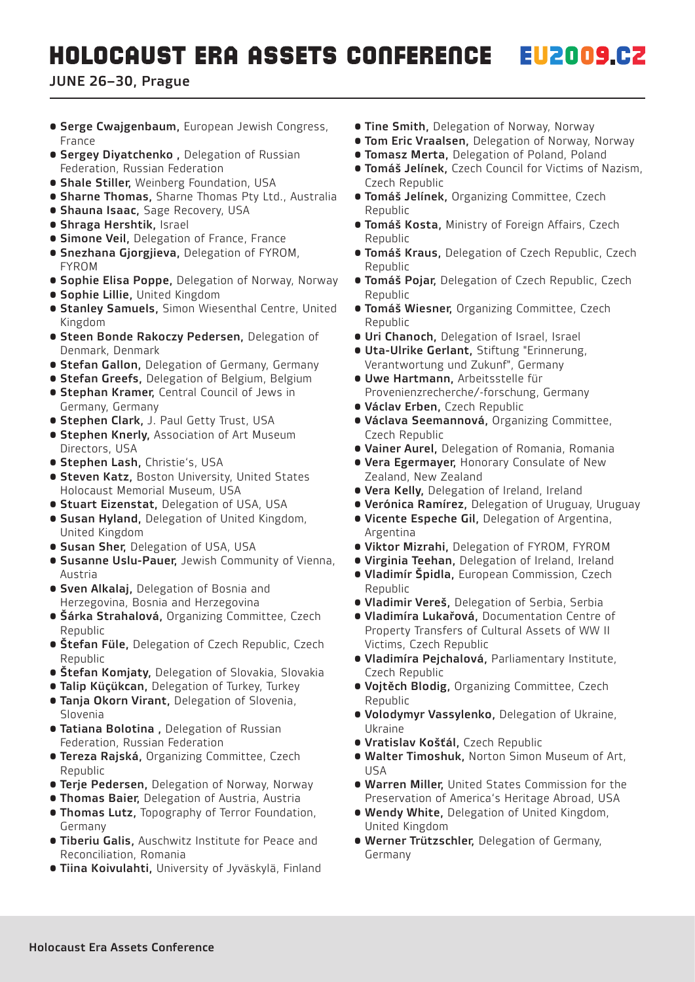- **Serge Cwajgenbaum, European Jewish Congress,** France
- **Sergey Diyatchenko**, Delegation of Russian Federation, Russian Federation
- **Shale Stiller, Weinberg Foundation, USA**
- **Sharne Thomas, Sharne Thomas Pty Ltd., Australia**
- **Shauna Isaac, Sage Recovery, USA**
- Shraga Hershtik, Israel
- **Simone Veil, Delegation of France, France**
- **Snezhana Gjorgjieva, Delegation of FYROM,** FYROM
- **Sophie Elisa Poppe, Delegation of Norway, Norway**
- Sophie Lillie, United Kingdom
- **Stanley Samuels, Simon Wiesenthal Centre, United** Kingdom
- Steen Bonde Rakoczy Pedersen, Delegation of Denmark, Denmark
- **Stefan Gallon, Delegation of Germany, Germany**
- **Stefan Greefs, Delegation of Belgium, Belgium**
- **Stephan Kramer, Central Council of Jews in** Germany, Germany
- **Stephen Clark, J. Paul Getty Trust, USA**
- **Stephen Knerly, Association of Art Museum** Directors, USA
- **Stephen Lash, Christie's, USA**
- **Steven Katz, Boston University, United States** Holocaust Memorial Museum, USA
- **Stuart Eizenstat, Delegation of USA, USA**
- Susan Hyland, Delegation of United Kingdom, United Kingdom
- **Susan Sher, Delegation of USA, USA**
- Susanne Uslu-Pauer, Jewish Community of Vienna, Austria
- **Sven Alkalaj, Delegation of Bosnia and** Herzegovina, Bosnia and Herzegovina
- **Šárka Strahalová, Organizing Committee, Czech** Republic
- **Štefan Füle,** Delegation of Czech Republic, Czech Republic
- **Štefan Komjaty, Delegation of Slovakia, Slovakia**
- **Talip Küçükcan, Delegation of Turkey, Turkey**
- **Tanja Okorn Virant, Delegation of Slovenia,** Slovenia
- **Tatiana Bolotina**, Delegation of Russian Federation, Russian Federation
- **Tereza Rajská, Organizing Committee, Czech** Republic
- **Terje Pedersen, Delegation of Norway, Norway**
- **Thomas Baier, Delegation of Austria, Austria**
- **Thomas Lutz, Topography of Terror Foundation,** Germany
- **Tiberiu Galis, Auschwitz Institute for Peace and** Reconciliation, Romania
- **Tiina Koivulahti, University of Jyväskylä, Finland**
- **Tine Smith**, Delegation of Norway, Norway
- **Tom Eric Vraalsen**, Delegation of Norway, Norway
- **Tomasz Merta, Delegation of Poland, Poland**
- Tomáš Jelínek, Czech Council for Victims of Nazism, Czech Republic
- **Tomáš Jelínek, Organizing Committee, Czech** Republic
- **Tomáš Kosta, Ministry of Foreign Affairs, Czech** Republic
- **Tomáš Kraus, Delegation of Czech Republic, Czech** Republic
- **Tomáš Pojar, Delegation of Czech Republic, Czech** Republic
- **Tomáš Wiesner, Organizing Committee, Czech** Republic
- **Uri Chanoch, Delegation of Israel, Israel**
- Uta-Ulrike Gerlant, Stiftung "Erinnerung, Verantwortung und Zukunf", Germany
- Uwe Hartmann, Arbeitsstelle für Provenienzrecherche/-forschung, Germany
- Václav Erben, Czech Republic
- Václava Seemannová, Organizing Committee, Czech Republic
- **Vainer Aurel, Delegation of Romania, Romania**
- **Vera Egermayer, Honorary Consulate of New** Zealand, New Zealand
- **Vera Kelly, Delegation of Ireland, Ireland**
- **Verónica Ramírez, Delegation of Uruguay, Uruguay**
- Vicente Espeche Gil, Delegation of Argentina, Argentina
- **Viktor Mizrahi, Delegation of FYROM, FYROM**
- **Virginia Teehan, Delegation of Ireland, Ireland**
- **Vladimír Špidla, European Commission, Czech** Republic
- · Vladimir Vereš, Delegation of Serbia, Serbia
- Vladimíra Lukařová, Documentation Centre of Property Transfers of Cultural Assets of WW II Victims, Czech Republic
- Vladimíra Pejchalová, Parliamentary Institute, Czech Republic
- **Voitěch Blodig, Organizing Committee, Czech** Republic
- Volodymyr Vassylenko, Delegation of Ukraine, Ukraine
- Vratislav Košťál, Czech Republic
- Walter Timoshuk, Norton Simon Museum of Art, USA
- Warren Miller, United States Commission for the Preservation of America's Heritage Abroad, USA
- Wendy White, Delegation of United Kingdom, United Kingdom
- **Werner Trützschler, Delegation of Germany,** Germany